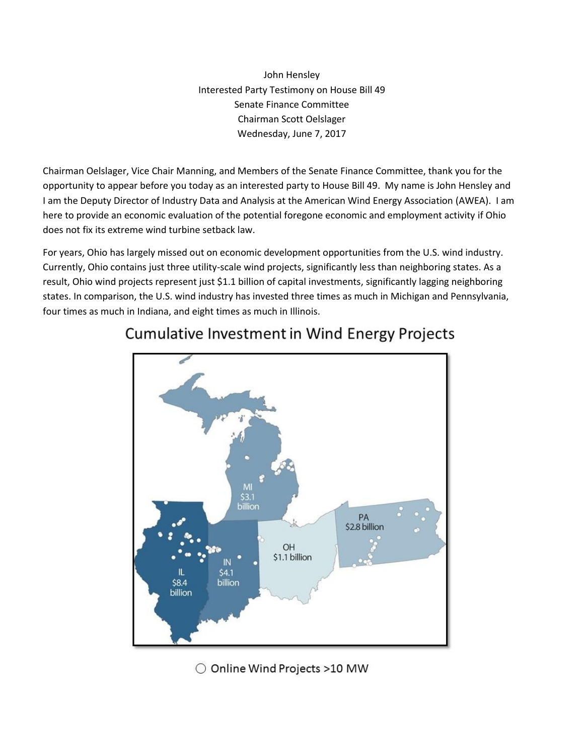John Hensley Interested Party Testimony on House Bill 49 Senate Finance Committee Chairman Scott Oelslager Wednesday, June 7, 2017

Chairman Oelslager, Vice Chair Manning, and Members of the Senate Finance Committee, thank you for the opportunity to appear before you today as an interested party to House Bill 49. My name is John Hensley and I am the Deputy Director of Industry Data and Analysis at the American Wind Energy Association (AWEA). I am here to provide an economic evaluation of the potential foregone economic and employment activity if Ohio does not fix its extreme wind turbine setback law.

For years, Ohio has largely missed out on economic development opportunities from the U.S. wind industry. Currently, Ohio contains just three utility-scale wind projects, significantly less than neighboring states. As a result, Ohio wind projects represent just \$1.1 billion of capital investments, significantly lagging neighboring states. In comparison, the U.S. wind industry has invested three times as much in Michigan and Pennsylvania, four times as much in Indiana, and eight times as much in Illinois.



## **Cumulative Investment in Wind Energy Projects**

○ Online Wind Projects >10 MW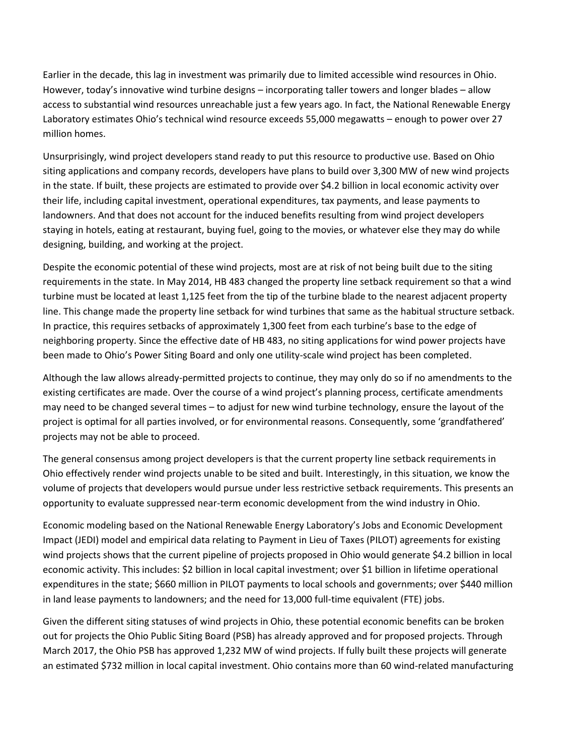Earlier in the decade, this lag in investment was primarily due to limited accessible wind resources in Ohio. However, today's innovative wind turbine designs – incorporating taller towers and longer blades – allow access to substantial wind resources unreachable just a few years ago. In fact, the National Renewable Energy Laboratory estimates Ohio's technical wind resource exceeds 55,000 megawatts – enough to power over 27 million homes.

Unsurprisingly, wind project developers stand ready to put this resource to productive use. Based on Ohio siting applications and company records, developers have plans to build over 3,300 MW of new wind projects in the state. If built, these projects are estimated to provide over \$4.2 billion in local economic activity over their life, including capital investment, operational expenditures, tax payments, and lease payments to landowners. And that does not account for the induced benefits resulting from wind project developers staying in hotels, eating at restaurant, buying fuel, going to the movies, or whatever else they may do while designing, building, and working at the project.

Despite the economic potential of these wind projects, most are at risk of not being built due to the siting requirements in the state. In May 2014, HB 483 changed the property line setback requirement so that a wind turbine must be located at least 1,125 feet from the tip of the turbine blade to the nearest adjacent property line. This change made the property line setback for wind turbines that same as the habitual structure setback. In practice, this requires setbacks of approximately 1,300 feet from each turbine's base to the edge of neighboring property. Since the effective date of HB 483, no siting applications for wind power projects have been made to Ohio's Power Siting Board and only one utility-scale wind project has been completed.

Although the law allows already-permitted projects to continue, they may only do so if no amendments to the existing certificates are made. Over the course of a wind project's planning process, certificate amendments may need to be changed several times – to adjust for new wind turbine technology, ensure the layout of the project is optimal for all parties involved, or for environmental reasons. Consequently, some 'grandfathered' projects may not be able to proceed.

The general consensus among project developers is that the current property line setback requirements in Ohio effectively render wind projects unable to be sited and built. Interestingly, in this situation, we know the volume of projects that developers would pursue under less restrictive setback requirements. This presents an opportunity to evaluate suppressed near-term economic development from the wind industry in Ohio.

Economic modeling based on the National Renewable Energy Laboratory's Jobs and Economic Development Impact (JEDI) model and empirical data relating to Payment in Lieu of Taxes (PILOT) agreements for existing wind projects shows that the current pipeline of projects proposed in Ohio would generate \$4.2 billion in local economic activity. This includes: \$2 billion in local capital investment; over \$1 billion in lifetime operational expenditures in the state; \$660 million in PILOT payments to local schools and governments; over \$440 million in land lease payments to landowners; and the need for 13,000 full-time equivalent (FTE) jobs.

Given the different siting statuses of wind projects in Ohio, these potential economic benefits can be broken out for projects the Ohio Public Siting Board (PSB) has already approved and for proposed projects. Through March 2017, the Ohio PSB has approved 1,232 MW of wind projects. If fully built these projects will generate an estimated \$732 million in local capital investment. Ohio contains more than 60 wind-related manufacturing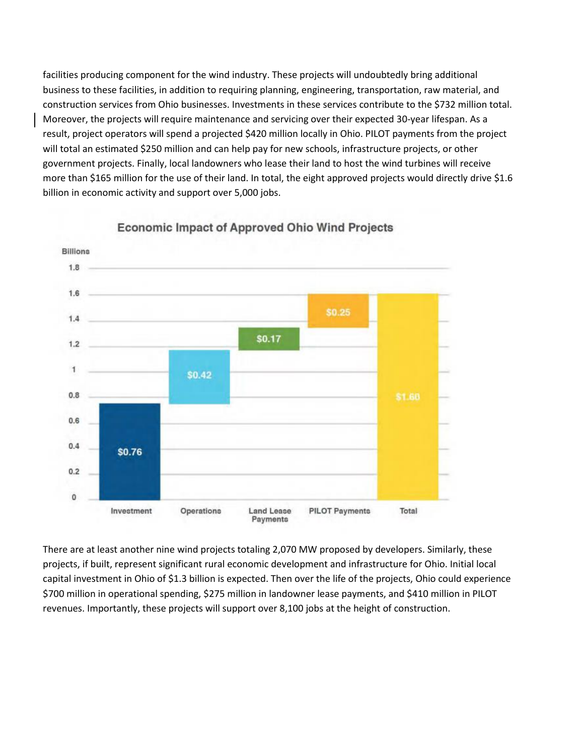facilities producing component for the wind industry. These projects will undoubtedly bring additional business to these facilities, in addition to requiring planning, engineering, transportation, raw material, and construction services from Ohio businesses. Investments in these services contribute to the \$732 million total. Moreover, the projects will require maintenance and servicing over their expected 30-year lifespan. As a result, project operators will spend a projected \$420 million locally in Ohio. PILOT payments from the project will total an estimated \$250 million and can help pay for new schools, infrastructure projects, or other government projects. Finally, local landowners who lease their land to host the wind turbines will receive more than \$165 million for the use of their land. In total, the eight approved projects would directly drive \$1.6 billion in economic activity and support over 5,000 jobs.



**Economic Impact of Approved Ohio Wind Projects** 

There are at least another nine wind projects totaling 2,070 MW proposed by developers. Similarly, these projects, if built, represent significant rural economic development and infrastructure for Ohio. Initial local capital investment in Ohio of \$1.3 billion is expected. Then over the life of the projects, Ohio could experience \$700 million in operational spending, \$275 million in landowner lease payments, and \$410 million in PILOT revenues. Importantly, these projects will support over 8,100 jobs at the height of construction.